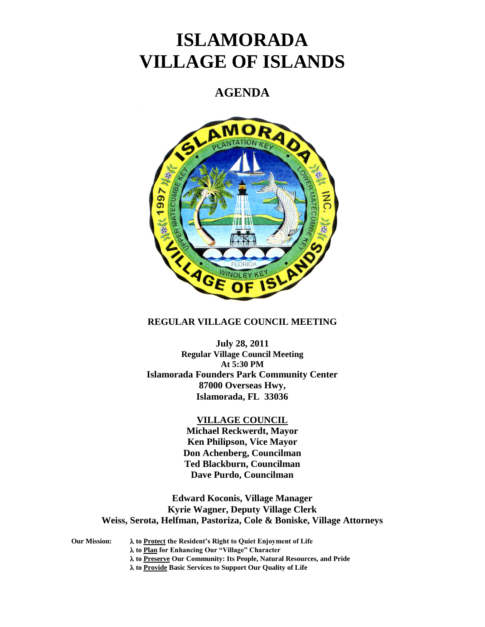# **ISLAMORADA VILLAGE OF ISLANDS**

# **AGENDA**



# **REGULAR VILLAGE COUNCIL MEETING**

**July 28, 2011 Regular Village Council Meeting At 5:30 PM Islamorada Founders Park Community Center 87000 Overseas Hwy, Islamorada, FL 33036**

## **VILLAGE COUNCIL**

**Michael Reckwerdt, Mayor Ken Philipson, Vice Mayor Don Achenberg, Councilman Ted Blackburn, Councilman Dave Purdo, Councilman**

**Edward Koconis, Village Manager Kyrie Wagner, Deputy Village Clerk Weiss, Serota, Helfman, Pastoriza, Cole & Boniske, Village Attorneys**

**Our Mission: to Protect the Resident's Right to Quiet Enjoyment of Life to Plan for Enhancing Our "Village" Character to Preserve Our Community: Its People, Natural Resources, and Pride to Provide Basic Services to Support Our Quality of Life**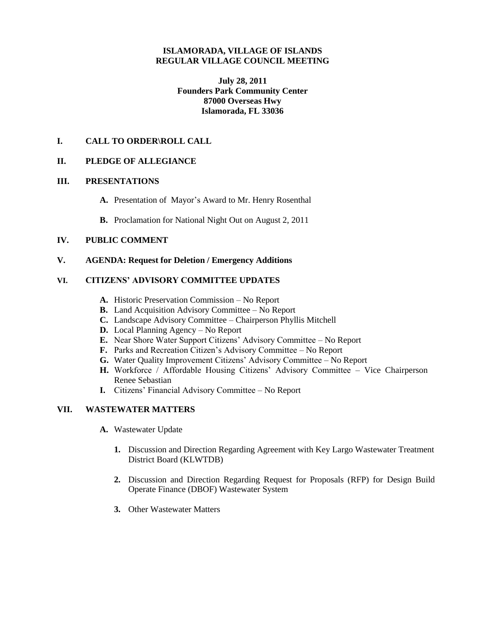# **ISLAMORADA, VILLAGE OF ISLANDS REGULAR VILLAGE COUNCIL MEETING**

**July 28, 2011 Founders Park Community Center 87000 Overseas Hwy Islamorada, FL 33036**

# **I. CALL TO ORDER\ROLL CALL**

# **II. PLEDGE OF ALLEGIANCE**

## **III. PRESENTATIONS**

- **A.** Presentation of Mayor's Award to Mr. Henry Rosenthal
- **B.** Proclamation for National Night Out on August 2, 2011

# **IV. PUBLIC COMMENT**

**V. AGENDA: Request for Deletion / Emergency Additions**

# **VI. CITIZENS' ADVISORY COMMITTEE UPDATES**

- **A.** Historic Preservation Commission No Report
- **B.** Land Acquisition Advisory Committee No Report
- **C.** Landscape Advisory Committee Chairperson Phyllis Mitchell
- **D.** Local Planning Agency No Report
- **E.** Near Shore Water Support Citizens' Advisory Committee No Report
- **F.** Parks and Recreation Citizen's Advisory Committee No Report
- **G.** Water Quality Improvement Citizens' Advisory Committee No Report
- **H.** Workforce / Affordable Housing Citizens' Advisory Committee Vice Chairperson Renee Sebastian
- **I.** Citizens' Financial Advisory Committee No Report

# **VII. WASTEWATER MATTERS**

- **A.** Wastewater Update
	- **1.** Discussion and Direction Regarding Agreement with Key Largo Wastewater Treatment District Board (KLWTDB)
	- **2.** Discussion and Direction Regarding Request for Proposals (RFP) for Design Build Operate Finance (DBOF) Wastewater System
	- **3.** Other Wastewater Matters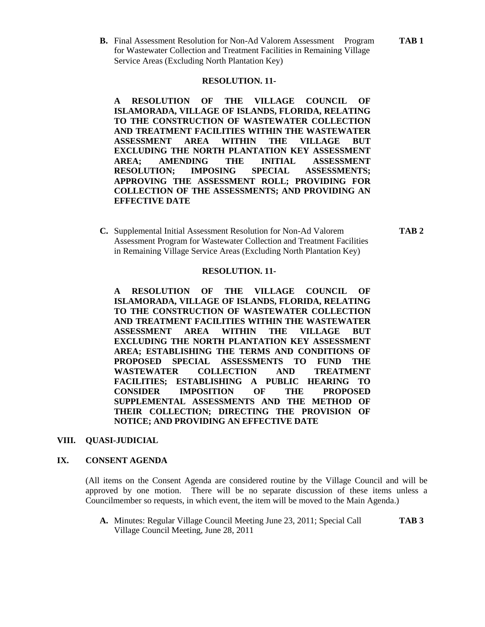**B.** Final Assessment Resolution for Non-Ad Valorem Assessment Program **TAB 1** for Wastewater Collection and Treatment Facilities in Remaining Village Service Areas (Excluding North Plantation Key)

#### **RESOLUTION. 11-**

**A RESOLUTION OF THE VILLAGE COUNCIL OF ISLAMORADA, VILLAGE OF ISLANDS, FLORIDA, RELATING TO THE CONSTRUCTION OF WASTEWATER COLLECTION AND TREATMENT FACILITIES WITHIN THE WASTEWATER ASSESSMENT AREA WITHIN THE VILLAGE BUT EXCLUDING THE NORTH PLANTATION KEY ASSESSMENT AREA; AMENDING THE INITIAL ASSESSMENT RESOLUTION; IMPOSING SPECIAL ASSESSMENTS; APPROVING THE ASSESSMENT ROLL; PROVIDING FOR COLLECTION OF THE ASSESSMENTS; AND PROVIDING AN EFFECTIVE DATE**

**C.** Supplemental Initial Assessment Resolution for Non-Ad Valorem **TAB 2** Assessment Program for Wastewater Collection and Treatment Facilities in Remaining Village Service Areas (Excluding North Plantation Key)

# **RESOLUTION. 11-**

**A RESOLUTION OF THE VILLAGE COUNCIL OF ISLAMORADA, VILLAGE OF ISLANDS, FLORIDA, RELATING TO THE CONSTRUCTION OF WASTEWATER COLLECTION AND TREATMENT FACILITIES WITHIN THE WASTEWATER ASSESSMENT AREA WITHIN THE VILLAGE BUT EXCLUDING THE NORTH PLANTATION KEY ASSESSMENT AREA; ESTABLISHING THE TERMS AND CONDITIONS OF PROPOSED SPECIAL ASSESSMENTS TO FUND THE WASTEWATER COLLECTION AND TREATMENT FACILITIES; ESTABLISHING A PUBLIC HEARING TO CONSIDER IMPOSITION OF THE PROPOSED SUPPLEMENTAL ASSESSMENTS AND THE METHOD OF THEIR COLLECTION; DIRECTING THE PROVISION OF NOTICE; AND PROVIDING AN EFFECTIVE DATE**

#### **VIII. QUASI-JUDICIAL**

### **IX. CONSENT AGENDA**

(All items on the Consent Agenda are considered routine by the Village Council and will be approved by one motion. There will be no separate discussion of these items unless a Councilmember so requests, in which event, the item will be moved to the Main Agenda.)

**A.** Minutes: Regular Village Council Meeting June 23, 2011; Special Call **TAB 3** Village Council Meeting, June 28, 2011